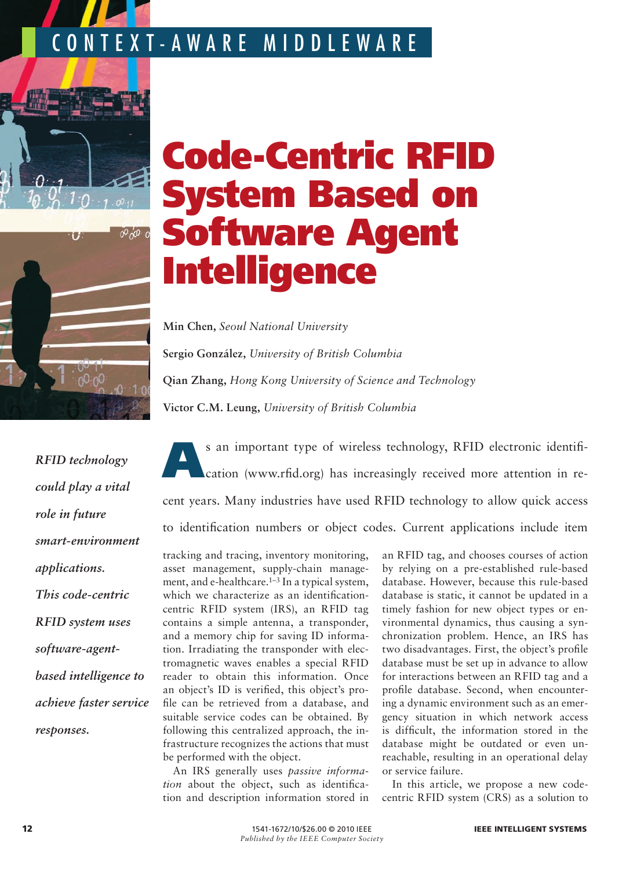# CONTEXT-AWARE MIDDLEWARE





*RFID technology could play a vital role in future smart-environment applications. This code-centric RFID system uses software-agentbased intelligence to achieve faster service responses.*

## **Code-Centric RFID System Based on Software Agent Intelligence**

**Min Chen,** *Seoul National University* **Sergio González,** *University of British Columbia* **Qian Zhang,** *Hong Kong University of Science and Technology* **Victor C.M. Leung,** *University of British Columbia*

s an important type of wireless technology, RFID electronic identification (www.rfid.org) has increasingly received more attention in recent years. Many industries have used RFID technology to allow quick access to identification numbers or object codes. Current applications include item

tracking and tracing, inventory monitoring, asset management, supply-chain management, and e-healthcare.<sup>1-3</sup> In a typical system, which we characterize as an identificationcentric RFID system (IRS), an RFID tag contains a simple antenna, a transponder, and a memory chip for saving ID information. Irradiating the transponder with electromagnetic waves enables a special RFID reader to obtain this information. Once an object's ID is verified, this object's profile can be retrieved from a database, and suitable service codes can be obtained. By following this centralized approach, the infrastructure recognizes the actions that must be performed with the object.

An IRS generally uses *passive information* about the object, such as identification and description information stored in an RFID tag, and chooses courses of action by relying on a pre-established rule-based database. However, because this rule-based database is static, it cannot be updated in a timely fashion for new object types or environmental dynamics, thus causing a synchronization problem. Hence, an IRS has two disadvantages. First, the object's profile database must be set up in advance to allow for interactions between an RFID tag and a profile database. Second, when encountering a dynamic environment such as an emergency situation in which network access is difficult, the information stored in the database might be outdated or even unreachable, resulting in an operational delay or service failure.

In this article, we propose a new codecentric RFID system (CRS) as a solution to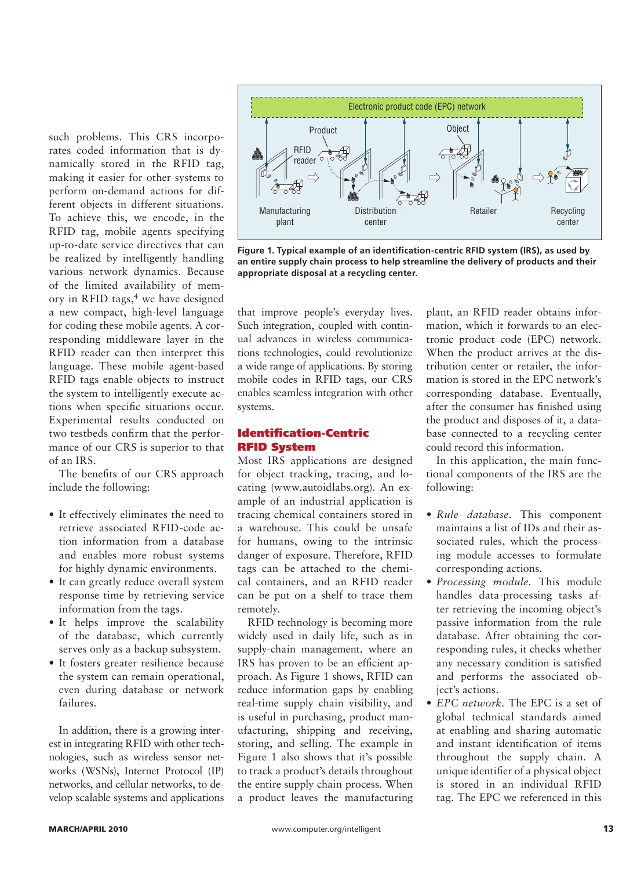such problems. This CRS incorporates coded information that is dynamically stored in the RFID tag, making it easier for other systems to perform on-demand actions for different objects in different situations. To achieve this, we encode, in the RFID tag, mobile agents specifying up-to-date service directives that can be realized by intelligently handling various network dynamics. Because of the limited availability of memory in RFID tags, $4$  we have designed a new compact, high-level language for coding these mobile agents. A corresponding middleware layer in the RFID reader can then interpret this language. These mobile agent-based RFID tags enable objects to instruct the system to intelligently execute actions when specific situations occur. Experimental results conducted on two testbeds confirm that the performance of our CRS is superior to that of an IRS.

The benefits of our CRS approach include the following:

- It effectively eliminates the need to retrieve associated RFID-code action information from a database and enables more robust systems for highly dynamic environments.
- It can greatly reduce overall system response time by retrieving service information from the tags.
- It helps improve the scalability of the database, which currently serves only as a backup subsystem.
- It fosters greater resilience because the system can remain operational, even during database or network failures.

In addition, there is a growing interest in integrating RFID with other technologies, such as wireless sensor networks (WSNs), Internet Protocol (IP) networks, and cellular networks, to develop scalable systems and applications



Figure 1. Typical example of an identification-centric RFID system (IRS), as used by **an entire supply chain process to help streamline the delivery of products and their appropriate disposal at a recycling center.**

that improve people's everyday lives. Such integration, coupled with continual advances in wireless communications technologies, could revolutionize a wide range of applications. By storing mobile codes in RFID tags, our CRS enables seamless integration with other systems.

#### **Identification-Centric RFID System**

Most IRS applications are designed for object tracking, tracing, and locating (www.autoidlabs.org). An example of an industrial application is tracing chemical containers stored in a warehouse. This could be unsafe for humans, owing to the intrinsic danger of exposure. Therefore, RFID tags can be attached to the chemical containers, and an RFID reader can be put on a shelf to trace them remotely.

RFID technology is becoming more widely used in daily life, such as in supply-chain management, where an IRS has proven to be an efficient approach. As Figure 1 shows, RFID can reduce information gaps by enabling real-time supply chain visibility, and is useful in purchasing, product manufacturing, shipping and receiving, storing, and selling. The example in Figure 1 also shows that it's possible to track a product's details throughout the entire supply chain process. When a product leaves the manufacturing

plant, an RFID reader obtains information, which it forwards to an electronic product code (EPC) network. When the product arrives at the distribution center or retailer, the information is stored in the EPC network's corresponding database. Eventually, after the consumer has finished using the product and disposes of it, a database connected to a recycling center could record this information.

In this application, the main functional components of the IRS are the following:

- *Rule database.* This component maintains a list of IDs and their associated rules, which the processing module accesses to formulate corresponding actions.
- *Processing module.* This module handles data-processing tasks after retrieving the incoming object's passive information from the rule database. After obtaining the corresponding rules, it checks whether any necessary condition is satisfied and performs the associated object's actions.
- *EPC network.* The EPC is a set of global technical standards aimed at enabling and sharing automatic and instant identification of items throughout the supply chain. A unique identifier of a physical object is stored in an individual RFID tag. The EPC we referenced in this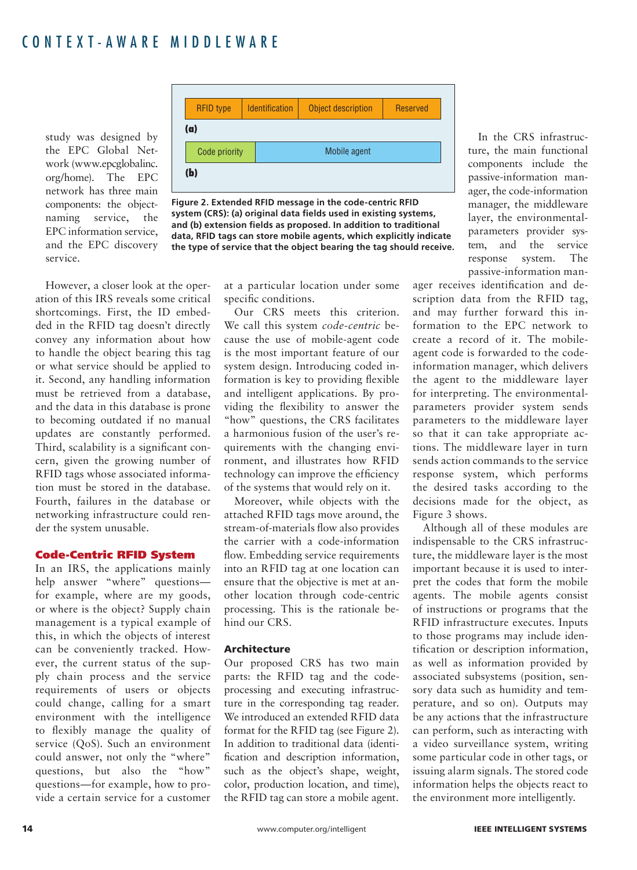### CONTEXT-AWARE MIDDLEWARE

study was designed by the EPC Global Network (www.epcglobalinc. org/home). The EPC network has three main components: the objectnaming service, the EPC information service, and the EPC discovery service.

| <b>Identification</b><br><b>RFID type</b> |  | <b>Object description</b> | Reserved |  |  |  |  |
|-------------------------------------------|--|---------------------------|----------|--|--|--|--|
| (a)                                       |  |                           |          |  |  |  |  |
| Code priority                             |  | Mobile agent              |          |  |  |  |  |
| (b)                                       |  |                           |          |  |  |  |  |

**Figure 2. Extended RFID message in the code-centric RFID**  system (CRS): (a) original data fields used in existing systems, and (b) extension fields as proposed. In addition to traditional **data, RFID tags can store mobile agents, which explicitly indicate the type of service that the object bearing the tag should receive.**

However, a closer look at the operation of this IRS reveals some critical shortcomings. First, the ID embedded in the RFID tag doesn't directly convey any information about how to handle the object bearing this tag or what service should be applied to it. Second, any handling information must be retrieved from a database, and the data in this database is prone to becoming outdated if no manual updates are constantly performed. Third, scalability is a significant concern, given the growing number of RFID tags whose associated information must be stored in the database. Fourth, failures in the database or networking infrastructure could render the system unusable.

#### **Code-Centric RFID System**

In an IRS, the applications mainly help answer "where" questions for example, where are my goods, or where is the object? Supply chain management is a typical example of this, in which the objects of interest can be conveniently tracked. However, the current status of the supply chain process and the service requirements of users or objects could change, calling for a smart environment with the intelligence to flexibly manage the quality of service (QoS). Such an environment could answer, not only the "where" questions, but also the "how" questions—for example, how to provide a certain service for a customer

at a particular location under some specific conditions.

Our CRS meets this criterion. We call this system *code-centric* because the use of mobile-agent code is the most important feature of our system design. Introducing coded information is key to providing flexible and intelligent applications. By providing the flexibility to answer the "how" questions, the CRS facilitates a harmonious fusion of the user's requirements with the changing environment, and illustrates how RFID technology can improve the efficiency of the systems that would rely on it.

Moreover, while objects with the attached RFID tags move around, the stream-of-materials flow also provides the carrier with a code-information flow. Embedding service requirements into an RFID tag at one location can ensure that the objective is met at another location through code-centric processing. This is the rationale behind our CRS.

#### **Architecture**

Our proposed CRS has two main parts: the RFID tag and the codeprocessing and executing infrastructure in the corresponding tag reader. We introduced an extended RFID data format for the RFID tag (see Figure 2). In addition to traditional data (identification and description information, such as the object's shape, weight, color, production location, and time), the RFID tag can store a mobile agent.

In the CRS infrastructure, the main functional components include the passive-information manager, the code-information manager, the middleware layer, the environmentalparameters provider system, and the service response system. The passive-information man-

ager receives identification and description data from the RFID tag, and may further forward this information to the EPC network to create a record of it. The mobileagent code is forwarded to the codeinformation manager, which delivers the agent to the middleware layer for interpreting. The environmentalparameters provider system sends parameters to the middleware layer so that it can take appropriate actions. The middleware layer in turn sends action commands to the service response system, which performs the desired tasks according to the decisions made for the object, as Figure 3 shows.

Although all of these modules are indispensable to the CRS infrastructure, the middleware layer is the most important because it is used to interpret the codes that form the mobile agents. The mobile agents consist of instructions or programs that the RFID infrastructure executes. Inputs to those programs may include identification or description information, as well as information provided by associated subsystems (position, sensory data such as humidity and temperature, and so on). Outputs may be any actions that the infrastructure can perform, such as interacting with a video surveillance system, writing some particular code in other tags, or issuing alarm signals. The stored code information helps the objects react to the environment more intelligently.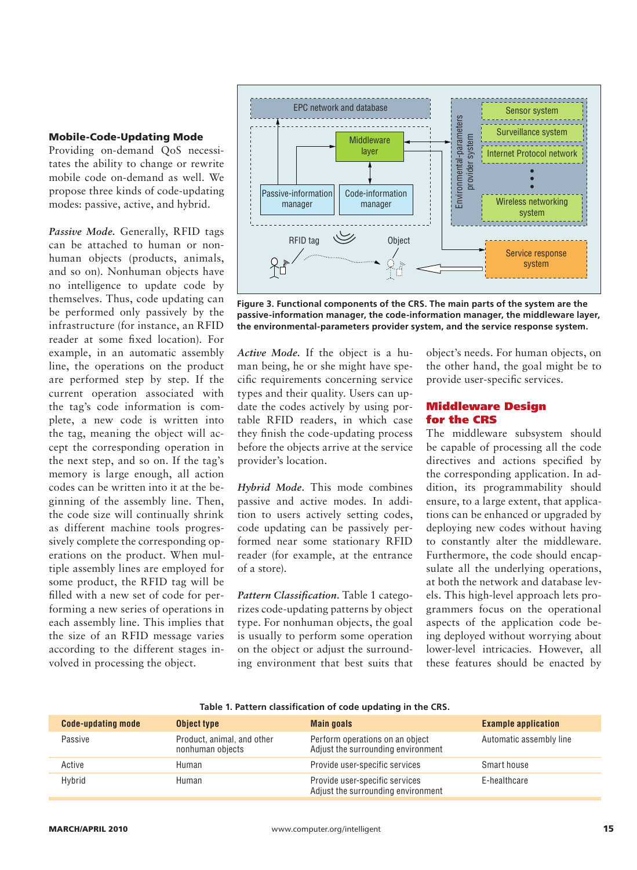#### **Mobile-Code-Updating Mode**

Providing on-demand QoS necessitates the ability to change or rewrite mobile code on-demand as well. We propose three kinds of code-updating modes: passive, active, and hybrid.

*Passive Mode.* Generally, RFID tags can be attached to human or nonhuman objects (products, animals, and so on). Nonhuman objects have no intelligence to update code by themselves. Thus, code updating can be performed only passively by the infrastructure (for instance, an RFID reader at some fixed location). For example, in an automatic assembly line, the operations on the product are performed step by step. If the current operation associated with the tag's code information is complete, a new code is written into the tag, meaning the object will accept the corresponding operation in the next step, and so on. If the tag's memory is large enough, all action codes can be written into it at the beginning of the assembly line. Then, the code size will continually shrink as different machine tools progressively complete the corresponding operations on the product. When multiple assembly lines are employed for some product, the RFID tag will be filled with a new set of code for performing a new series of operations in each assembly line. This implies that the size of an RFID message varies according to the different stages involved in processing the object.



**Figure 3. Functional components of the CRS. The main parts of the system are the passive-information manager, the code-information manager, the middleware layer, the environmental-parameters provider system, and the service response system.**

*Active Mode.* If the object is a human being, he or she might have specific requirements concerning service types and their quality. Users can update the codes actively by using portable RFID readers, in which case they finish the code-updating process before the objects arrive at the service provider's location.

*Hybrid Mode.* This mode combines passive and active modes. In addition to users actively setting codes, code updating can be passively performed near some stationary RFID reader (for example, at the entrance of a store).

**Pattern Classification.** Table 1 categorizes code-updating patterns by object type. For nonhuman objects, the goal is usually to perform some operation on the object or adjust the surrounding environment that best suits that

object's needs. For human objects, on the other hand, the goal might be to provide user-specific services.

#### **Middleware Design for the CRS**

The middleware subsystem should be capable of processing all the code directives and actions specified by the corresponding application. In addition, its programmability should ensure, to a large extent, that applications can be enhanced or upgraded by deploying new codes without having to constantly alter the middleware. Furthermore, the code should encapsulate all the underlying operations, at both the network and database levels. This high-level approach lets programmers focus on the operational aspects of the application code being deployed without worrying about lower-level intricacies. However, all these features should be enacted by

E-healthcare

| Table 1. Pattern classification of code updating in the CRS. |                                                |                                                                       |                            |  |  |  |
|--------------------------------------------------------------|------------------------------------------------|-----------------------------------------------------------------------|----------------------------|--|--|--|
| Code-updating mode                                           | Object type                                    | <b>Main goals</b>                                                     | <b>Example application</b> |  |  |  |
| Passive                                                      | Product, animal, and other<br>nonhuman objects | Perform operations on an object<br>Adjust the surrounding environment | Automatic assembly line    |  |  |  |

Active **Exercise Smart house** Human **Research Provide user-specific services** Smart house

Hybrid Human Provide user-specific services

|  |  |  | Table 1. Pattern classification of code updating in the CRS. |  |  |  |  |  |  |  |  |
|--|--|--|--------------------------------------------------------------|--|--|--|--|--|--|--|--|
|--|--|--|--------------------------------------------------------------|--|--|--|--|--|--|--|--|

Adjust the surrounding environment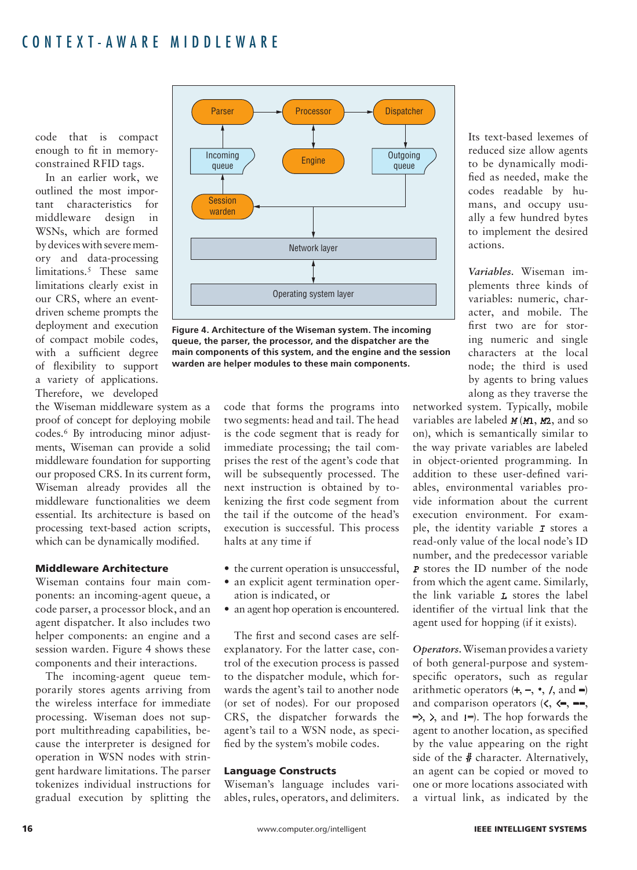code that is compact enough to fit in memoryconstrained RFID tags.

In an earlier work, we outlined the most important characteristics for middleware design in WSNs, which are formed by devices with severe memory and data-processing limitations.<sup>5</sup> These same limitations clearly exist in our CRS, where an eventdriven scheme prompts the deployment and execution of compact mobile codes, with a sufficient degree of flexibility to support a variety of applications. Therefore, we developed

the Wiseman middleware system as a proof of concept for deploying mobile codes.6 By introducing minor adjustments, Wiseman can provide a solid middleware foundation for supporting our proposed CRS. In its current form, Wiseman already provides all the middleware functionalities we deem essential. Its architecture is based on processing text-based action scripts, which can be dynamically modified.

#### **Middleware Architecture**

Wiseman contains four main components: an incoming-agent queue, a code parser, a processor block, and an agent dispatcher. It also includes two helper components: an engine and a session warden. Figure 4 shows these components and their interactions.

The incoming-agent queue temporarily stores agents arriving from the wireless interface for immediate processing. Wiseman does not support multithreading capabilities, because the interpreter is designed for operation in WSN nodes with stringent hardware limitations. The parser tokenizes individual instructions for gradual execution by splitting the



**Figure 4. Architecture of the Wiseman system. The incoming queue, the parser, the processor, and the dispatcher are the main components of this system, and the engine and the session warden are helper modules to these main components.**

code that forms the programs into two segments: head and tail. The head is the code segment that is ready for immediate processing; the tail comprises the rest of the agent's code that will be subsequently processed. The next instruction is obtained by tokenizing the first code segment from the tail if the outcome of the head's execution is successful. This process halts at any time if

- the current operation is unsuccessful,
- an explicit agent termination operation is indicated, or
- an agent hop operation is encountered.

The first and second cases are selfexplanatory. For the latter case, control of the execution process is passed to the dispatcher module, which forwards the agent's tail to another node (or set of nodes). For our proposed CRS, the dispatcher forwards the agent's tail to a WSN node, as specified by the system's mobile codes.

#### **Language Constructs**

Wiseman's language includes variables, rules, operators, and delimiters.

Its text-based lexemes of reduced size allow agents to be dynamically modified as needed, make the codes readable by humans, and occupy usually a few hundred bytes to implement the desired actions.

*Variables.* Wiseman implements three kinds of variables: numeric, character, and mobile. The first two are for storing numeric and single characters at the local node; the third is used by agents to bring values along as they traverse the

networked system. Typically, mobile variables are labeled *M* (*M*1, *M*2, and so on), which is semantically similar to the way private variables are labeled in object-oriented programming. In addition to these user-defined variables, environmental variables provide information about the current execution environment. For example, the identity variable *I* stores a read-only value of the local node's ID number, and the predecessor variable *P* stores the ID number of the node from which the agent came. Similarly, the link variable *L* stores the label identifier of the virtual link that the agent used for hopping (if it exists).

*Operators.* Wiseman provides a variety of both general-purpose and systemspecific operators, such as regular arithmetic operators  $(+, -, *, /, \text{and} =)$ and comparison operators  $(\langle, \langle =, ==, \rangle)$  $\Rightarrow$ ,  $\Rightarrow$ , and  $\Rightarrow$ . The hop forwards the agent to another location, as specified by the value appearing on the right side of the # character. Alternatively, an agent can be copied or moved to one or more locations associated with a virtual link, as indicated by the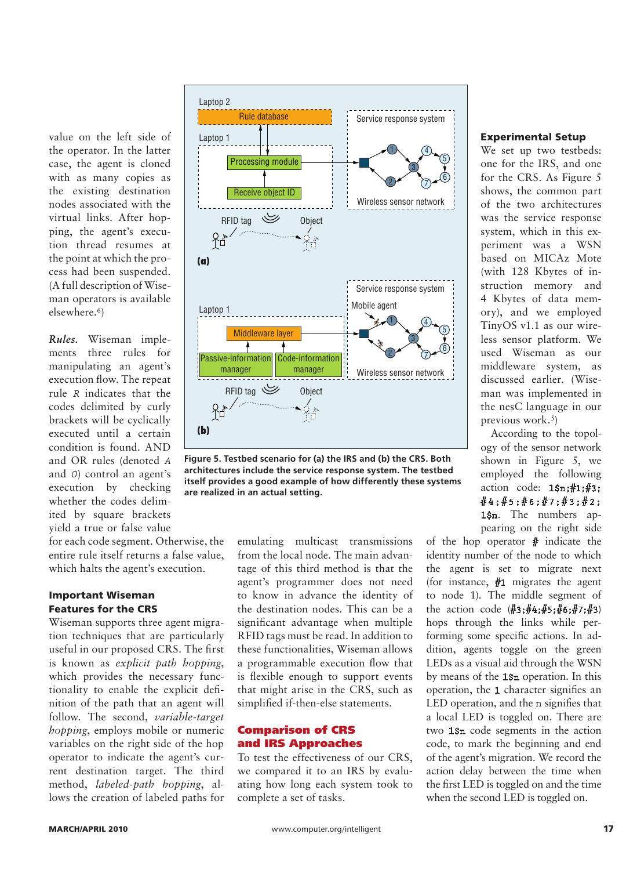value on the left side of the operator. In the latter case, the agent is cloned with as many copies as the existing destination nodes associated with the virtual links. After hopping, the agent's execution thread resumes at the point at which the process had been suspended. (A full description of Wiseman operators is available elsewhere.<sup>6</sup>)

*Rules.* Wiseman implements three rules for manipulating an agent's execution flow. The repeat rule *R* indicates that the codes delimited by curly brackets will be cyclically executed until a certain condition is found. AND and OR rules (denoted *A* and *O*) control an agent's execution by checking whether the codes delimited by square brackets yield a true or false value

for each code segment. Otherwise, the entire rule itself returns a false value, which halts the agent's execution.

#### **Important Wiseman Features for the CRS**

Wiseman supports three agent migration techniques that are particularly useful in our proposed CRS. The first is known as *explicit path hopping*, which provides the necessary functionality to enable the explicit definition of the path that an agent will follow. The second, *variable-target hopping*, employs mobile or numeric variables on the right side of the hop operator to indicate the agent's current destination target. The third method, *labeled-path hopping*, allows the creation of labeled paths for



**Figure 5. Testbed scenario for (a) the IRS and (b) the CRS. Both architectures include the service response system. The testbed itself provides a good example of how differently these systems are realized in an actual setting.**

emulating multicast transmissions from the local node. The main advantage of this third method is that the agent's programmer does not need to know in advance the identity of the destination nodes. This can be a significant advantage when multiple RFID tags must be read. In addition to these functionalities, Wiseman allows a programmable execution flow that is flexible enough to support events that might arise in the CRS, such as simplified if-then-else statements.

#### **Comparison of CRS and IRS Approaches**

To test the effectiveness of our CRS, we compared it to an IRS by evaluating how long each system took to complete a set of tasks.

**Experimental Setup**

We set up two testbeds: one for the IRS, and one for the CRS. As Figure 5 shows, the common part of the two architectures was the service response system, which in this experiment was a WSN based on MICAz Mote (with 128 Kbytes of instruction memory and 4 Kbytes of data memory), and we employed TinyOS v1.1 as our wireless sensor platform. We used Wiseman as our middleware system, as discussed earlier. (Wiseman was implemented in the nesC language in our previous work.<sup>5</sup>)

According to the topology of the sensor network shown in Figure 5, we employed the following action code: l\$n;#1;#3; # 4;# 5;# 6;# 7;# 3;# 2; l\$n. The numbers appearing on the right side

of the hop operator  $#$  indicate the identity number of the node to which the agent is set to migrate next (for instance,  $#1$  migrates the agent to node 1). The middle segment of the action code (#3;#4;#5;#6;#7;#3) hops through the links while performing some specific actions. In addition, agents toggle on the green LEDs as a visual aid through the WSN by means of the l\$n operation. In this operation, the 1 character signifies an LED operation, and the n signifies that a local LED is toggled on. There are two 1\$n code segments in the action code, to mark the beginning and end of the agent's migration. We record the action delay between the time when the first LED is toggled on and the time when the second LED is toggled on.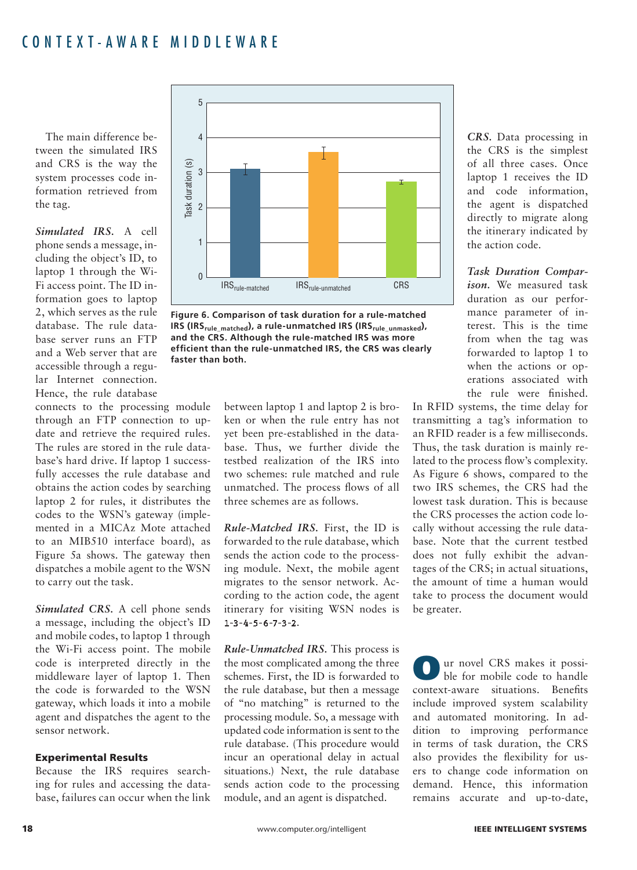The main difference between the simulated IRS and CRS is the way the system processes code information retrieved from the tag.

*Simulated IRS.* A cell phone sends a message, including the object's ID, to laptop 1 through the Wi-Fi access point. The ID information goes to laptop 2, which serves as the rule database. The rule database server runs an FTP and a Web server that are accessible through a regular Internet connection. Hence, the rule database

connects to the processing module through an FTP connection to update and retrieve the required rules. The rules are stored in the rule database's hard drive. If laptop 1 successfully accesses the rule database and obtains the action codes by searching laptop 2 for rules, it distributes the codes to the WSN's gateway (implemented in a MICAz Mote attached to an MIB510 interface board), as Figure 5a shows. The gateway then dispatches a mobile agent to the WSN to carry out the task.

*Simulated CRS.* A cell phone sends a message, including the object's ID and mobile codes, to laptop 1 through the Wi-Fi access point. The mobile code is interpreted directly in the middleware layer of laptop 1. Then the code is forwarded to the WSN gateway, which loads it into a mobile agent and dispatches the agent to the sensor network.

#### **Experimental Results**

Because the IRS requires searching for rules and accessing the database, failures can occur when the link



**Figure 6. Comparison of task duration for a rule-matched**  IRS (IRS<sub>rule matched</sub>), a rule-unmatched IRS (IRS<sub>rule unmasked),</sub> **and the CRS. Although the rule-matched IRS was more effi cient than the rule-unmatched IRS, the CRS was clearly faster than both.**

between laptop 1 and laptop 2 is broken or when the rule entry has not yet been pre-established in the database. Thus, we further divide the testbed realization of the IRS into two schemes: rule matched and rule unmatched. The process flows of all three schemes are as follows.

*Rule-Matched IRS.* First, the ID is forwarded to the rule database, which sends the action code to the processing module. Next, the mobile agent migrates to the sensor network. According to the action code, the agent itinerary for visiting WSN nodes is 1-3-4-5-6-7-3-2.

*Rule-Unmatched IRS.* This process is the most complicated among the three schemes. First, the ID is forwarded to the rule database, but then a message of "no matching" is returned to the processing module. So, a message with updated code information is sent to the rule database. (This procedure would incur an operational delay in actual situations.) Next, the rule database sends action code to the processing module, and an agent is dispatched.

*CRS.* Data processing in the CRS is the simplest of all three cases. Once laptop 1 receives the ID and code information, the agent is dispatched directly to migrate along the itinerary indicated by the action code.

*Task Duration Comparison.* We measured task duration as our performance parameter of interest. This is the time from when the tag was forwarded to laptop 1 to when the actions or operations associated with the rule were finished.

In RFID systems, the time delay for transmitting a tag's information to an RFID reader is a few milliseconds. Thus, the task duration is mainly related to the process flow's complexity. As Figure 6 shows, compared to the two IRS schemes, the CRS had the lowest task duration. This is because the CRS processes the action code locally without accessing the rule database. Note that the current testbed does not fully exhibit the advantages of the CRS; in actual situations, the amount of time a human would take to process the document would be greater.

**O**ur novel CRS makes it possi-ble for mobile code to handle context-aware situations. Benefits include improved system scalability and automated monitoring. In addition to improving performance in terms of task duration, the CRS also provides the flexibility for users to change code information on demand. Hence, this information remains accurate and up-to-date,